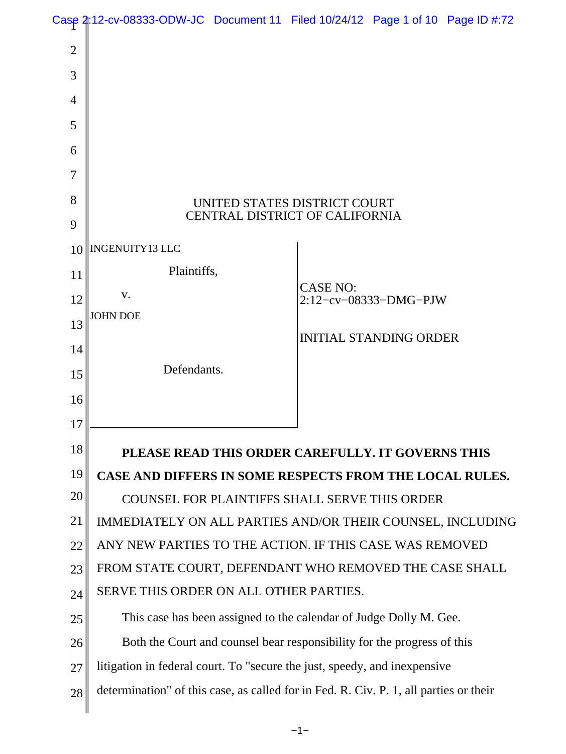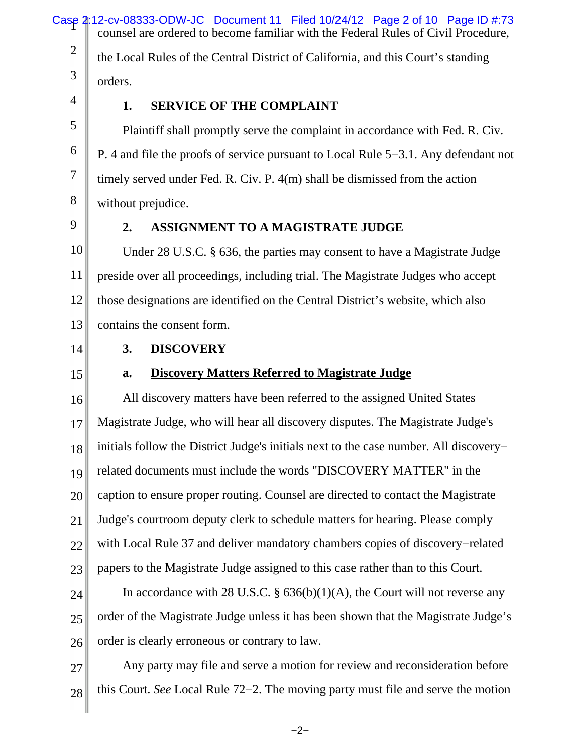Case 2:12-cv-08333-ODW-JC Document 11 Filed 10/24/12 Page 2 of 10 Page ID #:73 2 3 4 5 counsel are ordered to become familiar with the Federal Rules of Civil Procedure, the Local Rules of the Central District of California, and this Court's standing orders. **1. SERVICE OF THE COMPLAINT** Plaintiff shall promptly serve the complaint in accordance with Fed. R. Civ.

P. 4 and file the proofs of service pursuant to Local Rule 5−3.1. Any defendant not timely served under Fed. R. Civ. P. 4(m) shall be dismissed from the action without prejudice.

9

6

7

8

### **2. ASSIGNMENT TO A MAGISTRATE JUDGE**

10 11 12 13 Under 28 U.S.C. § 636, the parties may consent to have a Magistrate Judge preside over all proceedings, including trial. The Magistrate Judges who accept those designations are identified on the Central District's website, which also contains the consent form.

14

15

### **3. DISCOVERY**

## **a. Discovery Matters Referred to Magistrate Judge**

16 17 18 19 20 21 22 23 All discovery matters have been referred to the assigned United States Magistrate Judge, who will hear all discovery disputes. The Magistrate Judge's initials follow the District Judge's initials next to the case number. All discovery− related documents must include the words "DISCOVERY MATTER" in the caption to ensure proper routing. Counsel are directed to contact the Magistrate Judge's courtroom deputy clerk to schedule matters for hearing. Please comply with Local Rule 37 and deliver mandatory chambers copies of discovery−related papers to the Magistrate Judge assigned to this case rather than to this Court.

24 25 26 In accordance with 28 U.S.C.  $\S$  636(b)(1)(A), the Court will not reverse any order of the Magistrate Judge unless it has been shown that the Magistrate Judge's order is clearly erroneous or contrary to law.

27 28 Any party may file and serve a motion for review and reconsideration before this Court. *See* Local Rule 72−2. The moving party must file and serve the motion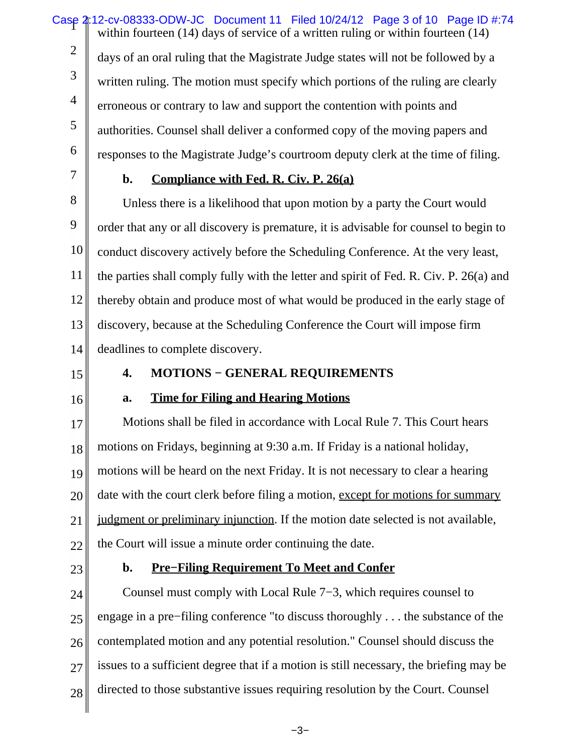Case 2:12-cv-08333-ODW-JC Document 11 Filed 10/24/12 Page 3 of 10 Page ID #:74 2 3 4 5 6 within fourteen (14) days of service of a written ruling or within fourteen (14) days of an oral ruling that the Magistrate Judge states will not be followed by a written ruling. The motion must specify which portions of the ruling are clearly erroneous or contrary to law and support the contention with points and authorities. Counsel shall deliver a conformed copy of the moving papers and responses to the Magistrate Judge's courtroom deputy clerk at the time of filing.

7

# **b. Compliance with Fed. R. Civ. P. 26(a)**

8 9 10 11 12 13 14 Unless there is a likelihood that upon motion by a party the Court would order that any or all discovery is premature, it is advisable for counsel to begin to conduct discovery actively before the Scheduling Conference. At the very least, the parties shall comply fully with the letter and spirit of Fed. R. Civ. P. 26(a) and thereby obtain and produce most of what would be produced in the early stage of discovery, because at the Scheduling Conference the Court will impose firm deadlines to complete discovery.

15

# **4. MOTIONS − GENERAL REQUIREMENTS**

16

# **a. Time for Filing and Hearing Motions**

17 18 19 20 21 22 Motions shall be filed in accordance with Local Rule 7. This Court hears motions on Fridays, beginning at 9:30 a.m. If Friday is a national holiday, motions will be heard on the next Friday. It is not necessary to clear a hearing date with the court clerk before filing a motion, except for motions for summary judgment or preliminary injunction. If the motion date selected is not available, the Court will issue a minute order continuing the date.

23

# **b. Pre−Filing Requirement To Meet and Confer**

24 25 26 27 28 Counsel must comply with Local Rule 7−3, which requires counsel to engage in a pre−filing conference "to discuss thoroughly . . . the substance of the contemplated motion and any potential resolution." Counsel should discuss the issues to a sufficient degree that if a motion is still necessary, the briefing may be directed to those substantive issues requiring resolution by the Court. Counsel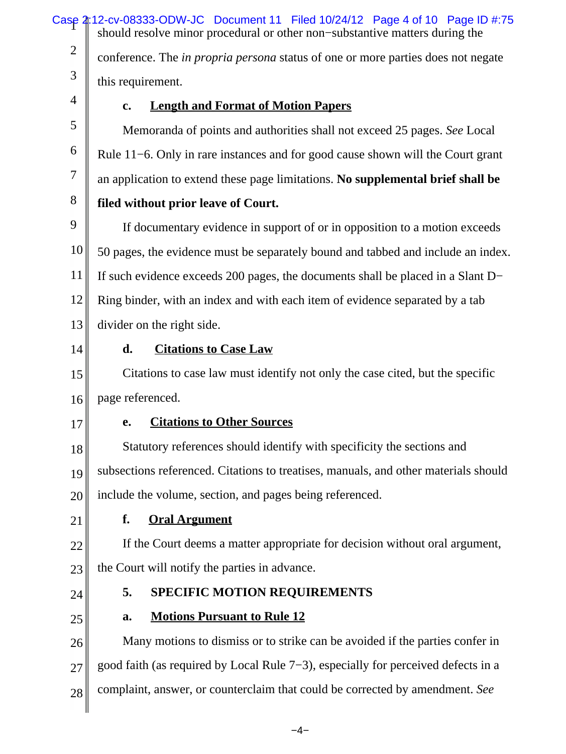Case 2:12-cv-08333-ODW-JC Document 11 Filed 10/24/12 Page 4 of 10 Page ID #:75 2 3 4 5 6 7 8 9 10 11 12 13 14 15 16 17 18 19 20 21 22 23 24 25 26 27 28 should resolve minor procedural or other non−substantive matters during the conference. The *in propria persona* status of one or more parties does not negate this requirement. **c. Length and Format of Motion Papers** Memoranda of points and authorities shall not exceed 25 pages. *See* Local Rule 11−6. Only in rare instances and for good cause shown will the Court grant an application to extend these page limitations. **No supplemental brief shall be filed without prior leave of Court.** If documentary evidence in support of or in opposition to a motion exceeds 50 pages, the evidence must be separately bound and tabbed and include an index. If such evidence exceeds 200 pages, the documents shall be placed in a Slant D− Ring binder, with an index and with each item of evidence separated by a tab divider on the right side. **d. Citations to Case Law** Citations to case law must identify not only the case cited, but the specific page referenced. **e. Citations to Other Sources** Statutory references should identify with specificity the sections and subsections referenced. Citations to treatises, manuals, and other materials should include the volume, section, and pages being referenced. **f. Oral Argument** If the Court deems a matter appropriate for decision without oral argument, the Court will notify the parties in advance. **5. SPECIFIC MOTION REQUIREMENTS a. Motions Pursuant to Rule 12** Many motions to dismiss or to strike can be avoided if the parties confer in good faith (as required by Local Rule 7−3), especially for perceived defects in a complaint, answer, or counterclaim that could be corrected by amendment. *See*

−4−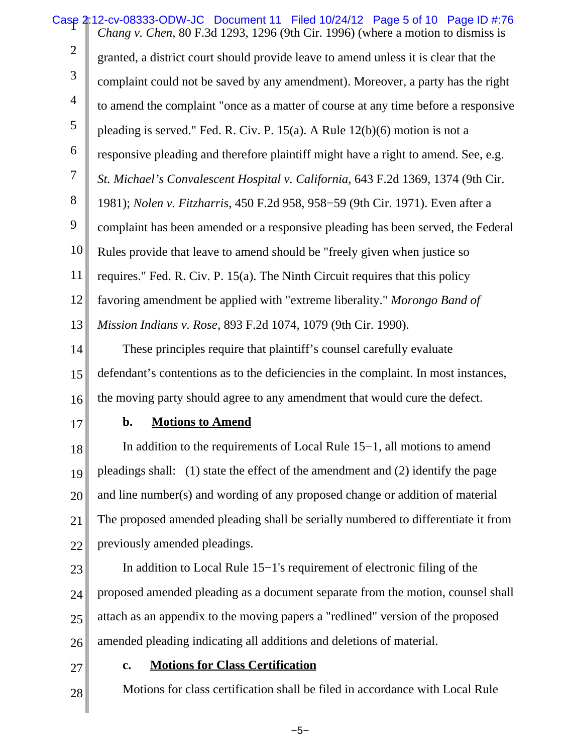Case 2:12-cv-08333-ODW-JC Document 11 Filed 10/24/12 Page 5 of 10 Page ID #:76 2 3 4 5 6 7 8 9 10 11 12 13 *Chang v. Chen*, 80 F.3d 1293, 1296 (9th Cir. 1996) (where a motion to dismiss is granted, a district court should provide leave to amend unless it is clear that the complaint could not be saved by any amendment). Moreover, a party has the right to amend the complaint "once as a matter of course at any time before a responsive pleading is served." Fed. R. Civ. P. 15(a). A Rule 12(b)(6) motion is not a responsive pleading and therefore plaintiff might have a right to amend. See, e.g. *St. Michael's Convalescent Hospital v. California*, 643 F.2d 1369, 1374 (9th Cir. 1981); *Nolen v. Fitzharris*, 450 F.2d 958, 958−59 (9th Cir. 1971). Even after a complaint has been amended or a responsive pleading has been served, the Federal Rules provide that leave to amend should be "freely given when justice so requires." Fed. R. Civ. P. 15(a). The Ninth Circuit requires that this policy favoring amendment be applied with "extreme liberality." *Morongo Band of Mission Indians v. Rose*, 893 F.2d 1074, 1079 (9th Cir. 1990).

14 15 16 These principles require that plaintiff's counsel carefully evaluate defendant's contentions as to the deficiencies in the complaint. In most instances, the moving party should agree to any amendment that would cure the defect.

17

### **b. Motions to Amend**

18 19 20 21 22 In addition to the requirements of Local Rule 15−1, all motions to amend pleadings shall: (1) state the effect of the amendment and (2) identify the page and line number(s) and wording of any proposed change or addition of material The proposed amended pleading shall be serially numbered to differentiate it from previously amended pleadings.

23

24 25 26 In addition to Local Rule 15−1's requirement of electronic filing of the proposed amended pleading as a document separate from the motion, counsel shall attach as an appendix to the moving papers a "redlined" version of the proposed amended pleading indicating all additions and deletions of material.

27

28

### **c. Motions for Class Certification**

Motions for class certification shall be filed in accordance with Local Rule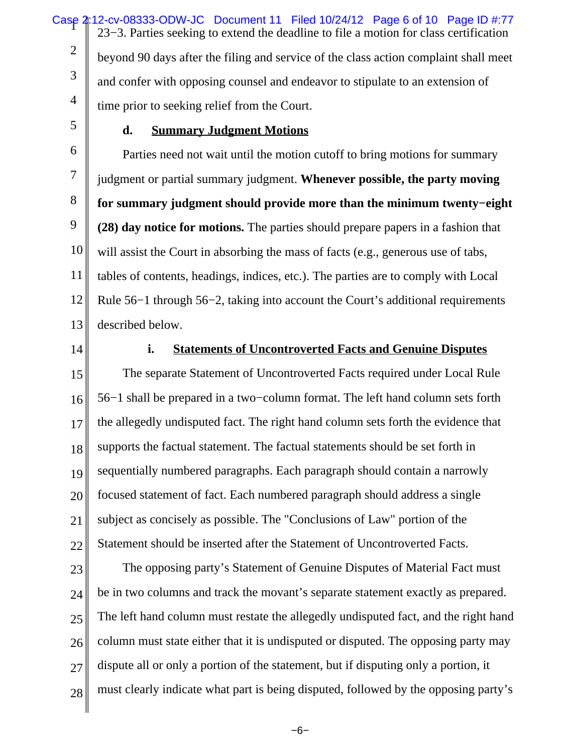Case 2:12-cv-08333-ODW-JC Document 11 Filed 10/24/12 Page 6 of 10 Page ID #:77 2 3 4 23−3. Parties seeking to extend the deadline to file a motion for class certification beyond 90 days after the filing and service of the class action complaint shall meet and confer with opposing counsel and endeavor to stipulate to an extension of time prior to seeking relief from the Court.

5

### **d. Summary Judgment Motions**

6 7 8 9 10 11 12 13 Parties need not wait until the motion cutoff to bring motions for summary judgment or partial summary judgment. **Whenever possible, the party moving for summary judgment should provide more than the minimum twenty−eight (28) day notice for motions.** The parties should prepare papers in a fashion that will assist the Court in absorbing the mass of facts (e.g., generous use of tabs, tables of contents, headings, indices, etc.). The parties are to comply with Local Rule 56−1 through 56−2, taking into account the Court's additional requirements described below.

14

### **i. Statements of Uncontroverted Facts and Genuine Disputes**

15 16 17 18 19 20 21 22 The separate Statement of Uncontroverted Facts required under Local Rule 56−1 shall be prepared in a two−column format. The left hand column sets forth the allegedly undisputed fact. The right hand column sets forth the evidence that supports the factual statement. The factual statements should be set forth in sequentially numbered paragraphs. Each paragraph should contain a narrowly focused statement of fact. Each numbered paragraph should address a single subject as concisely as possible. The "Conclusions of Law" portion of the Statement should be inserted after the Statement of Uncontroverted Facts.

23 24 25 26 27 28 The opposing party's Statement of Genuine Disputes of Material Fact must be in two columns and track the movant's separate statement exactly as prepared. The left hand column must restate the allegedly undisputed fact, and the right hand column must state either that it is undisputed or disputed. The opposing party may dispute all or only a portion of the statement, but if disputing only a portion, it must clearly indicate what part is being disputed, followed by the opposing party's

−6−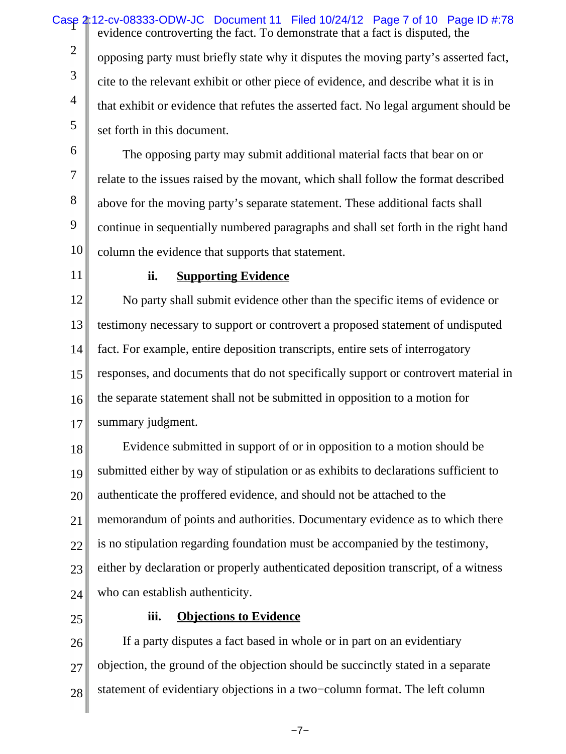Case 2:12-cv-08333-ODW-JC Document 11 Filed 10/24/12 Page 7 of 10 Page ID #:78 2 3 4 5 evidence controverting the fact. To demonstrate that a fact is disputed, the opposing party must briefly state why it disputes the moving party's asserted fact, cite to the relevant exhibit or other piece of evidence, and describe what it is in that exhibit or evidence that refutes the asserted fact. No legal argument should be set forth in this document.

6 7 8 9 10 The opposing party may submit additional material facts that bear on or relate to the issues raised by the movant, which shall follow the format described above for the moving party's separate statement. These additional facts shall continue in sequentially numbered paragraphs and shall set forth in the right hand column the evidence that supports that statement.

11

### **ii. Supporting Evidence**

12 13 14 15 16 17 No party shall submit evidence other than the specific items of evidence or testimony necessary to support or controvert a proposed statement of undisputed fact. For example, entire deposition transcripts, entire sets of interrogatory responses, and documents that do not specifically support or controvert material in the separate statement shall not be submitted in opposition to a motion for summary judgment.

18 19 20 21 22 23 24 Evidence submitted in support of or in opposition to a motion should be submitted either by way of stipulation or as exhibits to declarations sufficient to authenticate the proffered evidence, and should not be attached to the memorandum of points and authorities. Documentary evidence as to which there is no stipulation regarding foundation must be accompanied by the testimony, either by declaration or properly authenticated deposition transcript, of a witness who can establish authenticity.

25

### **iii. Objections to Evidence**

26 27 28 If a party disputes a fact based in whole or in part on an evidentiary objection, the ground of the objection should be succinctly stated in a separate statement of evidentiary objections in a two−column format. The left column

−7−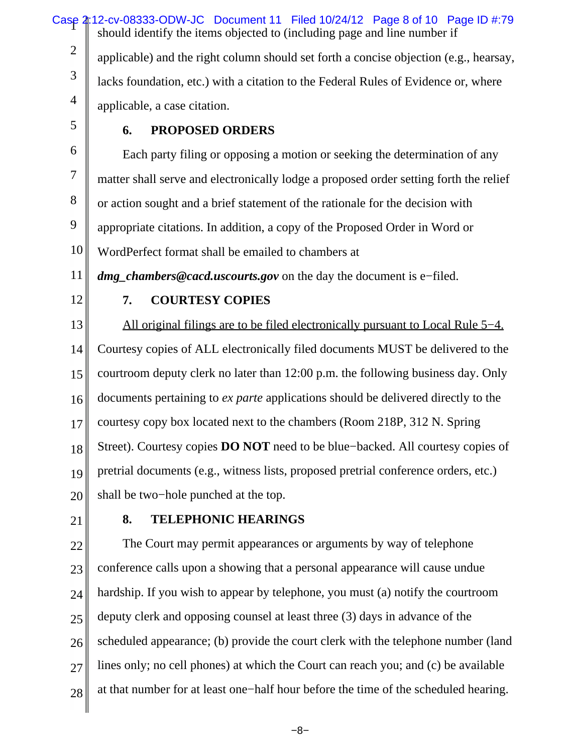Case 2:12-cv-08333-ODW-JC Document 11 Filed 10/24/12 Page 8 of 10 Page ID #:79 2 3 4 should identify the items objected to (including page and line number if applicable) and the right column should set forth a concise objection (e.g., hearsay, lacks foundation, etc.) with a citation to the Federal Rules of Evidence or, where applicable, a case citation.

5

# **6. PROPOSED ORDERS**

6 7 8 9 10 Each party filing or opposing a motion or seeking the determination of any matter shall serve and electronically lodge a proposed order setting forth the relief or action sought and a brief statement of the rationale for the decision with appropriate citations. In addition, a copy of the Proposed Order in Word or WordPerfect format shall be emailed to chambers at

11 *dmg\_chambers@cacd.uscourts.gov* on the day the document is e−filed.

12

### **7. COURTESY COPIES**

13 14 15 16 17 18 19 20 All original filings are to be filed electronically pursuant to Local Rule 5−4. Courtesy copies of ALL electronically filed documents MUST be delivered to the courtroom deputy clerk no later than 12:00 p.m. the following business day. Only documents pertaining to *ex parte* applications should be delivered directly to the courtesy copy box located next to the chambers (Room 218P, 312 N. Spring Street). Courtesy copies **DO NOT** need to be blue−backed. All courtesy copies of pretrial documents (e.g., witness lists, proposed pretrial conference orders, etc.) shall be two−hole punched at the top.

21

### **8. TELEPHONIC HEARINGS**

22 23 24 25 26 27 28 The Court may permit appearances or arguments by way of telephone conference calls upon a showing that a personal appearance will cause undue hardship. If you wish to appear by telephone, you must (a) notify the courtroom deputy clerk and opposing counsel at least three (3) days in advance of the scheduled appearance; (b) provide the court clerk with the telephone number (land lines only; no cell phones) at which the Court can reach you; and (c) be available at that number for at least one−half hour before the time of the scheduled hearing.

−8−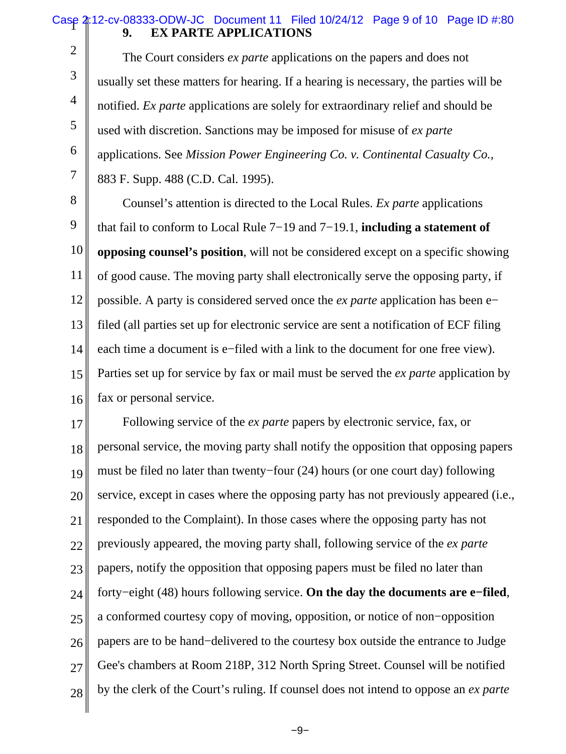### Case 2:12-cv-08333-ODW-JC Document 11 Filed 10/24/12 Page 9 of 10 Page ID #:80 **9. EX PARTE APPLICATIONS**

2

3

4

5

6

7

 The Court considers *ex parte* applications on the papers and does not usually set these matters for hearing. If a hearing is necessary, the parties will be notified. *Ex parte* applications are solely for extraordinary relief and should be used with discretion. Sanctions may be imposed for misuse of *ex parte* applications. See *Mission Power Engineering Co. v. Continental Casualty Co.,* 883 F. Supp. 488 (C.D. Cal. 1995).

8 9 10 11 12 13 14 15 16 Counsel's attention is directed to the Local Rules. *Ex parte* applications that fail to conform to Local Rule 7−19 and 7−19.1, **including a statement of opposing counsel's position**, will not be considered except on a specific showing of good cause. The moving party shall electronically serve the opposing party, if possible. A party is considered served once the *ex parte* application has been e− filed (all parties set up for electronic service are sent a notification of ECF filing each time a document is e−filed with a link to the document for one free view). Parties set up for service by fax or mail must be served the *ex parte* application by fax or personal service.

17 18 19 20 21 22 23 24 25 26 27 28 Following service of the *ex parte* papers by electronic service, fax, or personal service, the moving party shall notify the opposition that opposing papers must be filed no later than twenty−four (24) hours (or one court day) following service, except in cases where the opposing party has not previously appeared (i.e., responded to the Complaint). In those cases where the opposing party has not previously appeared, the moving party shall, following service of the *ex parte* papers, notify the opposition that opposing papers must be filed no later than forty−eight (48) hours following service. **On the day the documents are e−filed**, a conformed courtesy copy of moving, opposition, or notice of non−opposition papers are to be hand−delivered to the courtesy box outside the entrance to Judge Gee's chambers at Room 218P, 312 North Spring Street. Counsel will be notified by the clerk of the Court's ruling. If counsel does not intend to oppose an *ex parte*

−9−